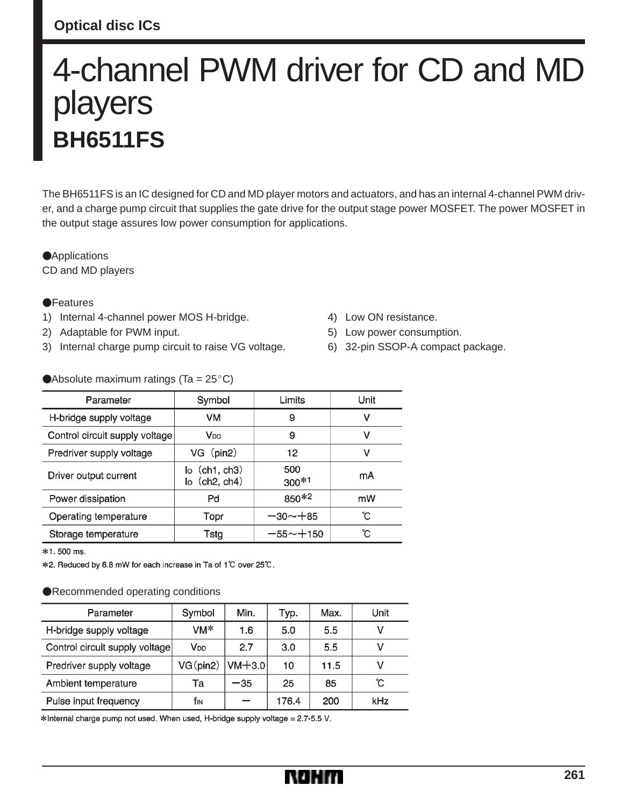## **Optical disc ICs**

# 4-channel PWM driver for CD and MD players **BH6511FS**

The BH6511FS is an IC designed for CD and MD player motors and actuators, and has an internal 4-channel PWM driver, and a charge pump circuit that supplies the gate drive for the output stage power MOSFET. The power MOSFET in the output stage assures low power consumption for applications.

**Applications** CD and MD players

## **•**Features

- 1) Internal 4-channel power MOS H-bridge.
- 2) Adaptable for PWM input.
- 3) Internal charge pump circuit to raise VG voltage.
- 4) Low ON resistance.
- 5) Low power consumption.
- 6) 32-pin SSOP-A compact package.

## Absolute maximum ratings (Ta =  $25^{\circ}$ C)

| Parameter                      | Symbol                                                           | Limits         | Unit |  |
|--------------------------------|------------------------------------------------------------------|----------------|------|--|
| H-bridge supply voltage        | VM                                                               | 9              | v    |  |
| Control circuit supply voltage | V <sub>DD</sub>                                                  | 9              | ν    |  |
| Predriver supply voltage       | VG (pin2)                                                        | 12             | ٧    |  |
| Driver output current          | $\mathsf{I}$ o $(\mathsf{ch}1, \mathsf{ch}3)$<br>$lo$ (ch2, ch4) | 500<br>$300*1$ | mA   |  |
| Power dissipation              | Pd                                                               | 850*2          | mW   |  |
| Operating temperature          | Topr                                                             | $-30 - +85$    | С°   |  |
| Storage temperature            | Tstg                                                             | $-55 - + 150$  | ъ°   |  |

\*1.500 ms.

\*2. Reduced by 6.8 mW for each increase in Ta of 1℃ over 25℃.

### Recommended operating conditions

| Parameter                      | Symbol          | Min.     | Typ.  | Max. | Unit |
|--------------------------------|-----------------|----------|-------|------|------|
| H-bridge supply voltage        | VM*             | 1.6      | 5.0   | 5.5  | ν    |
| Control circuit supply voltage | V <sub>DD</sub> | 2.7      | 3.0   | 5.5  | ν    |
| Predriver supply voltage       | $VG$ (pin2)     | $VM+3.0$ | 10    | 11.5 | v    |
| Ambient temperature            | Та              | -35      | 25    | 85   | °C   |
| Pulse input frequency          | fіN             |          | 176.4 | 200  | kHz  |

\*Internal charge pump not used. When used, H-bridge supply voltage = 2.7-5.5 V.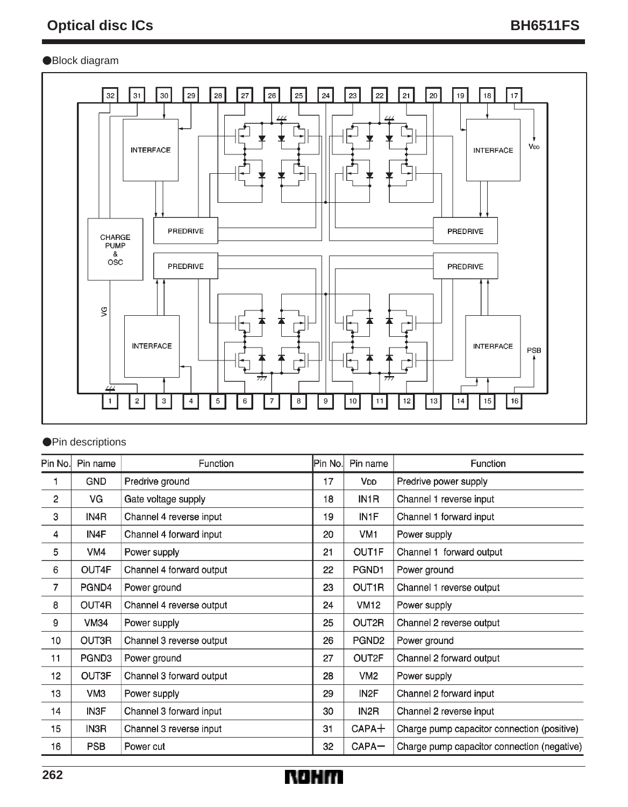## Block diagram



## **OPin descriptions**

| Pin No. | Pin name        | Function                 | Pin No. | Pin name          | Function                                    |
|---------|-----------------|--------------------------|---------|-------------------|---------------------------------------------|
|         | <b>GND</b>      | Predrive ground          | 17      | V <sub>DD</sub>   | Predrive power supply                       |
| 2       | VG              | Gate voltage supply      | 18      | IN <sub>1</sub> R | Channel 1 reverse input                     |
| 3       | IN4R            | Channel 4 reverse input  | 19      | IN <sub>1</sub> F | Channel 1 forward input                     |
| 4       | IN4F            | Channel 4 forward input  | 20      | VM1               | Power supply                                |
| 5       | VM4             | Power supply             | 21      | OUT1F             | Channel 1 forward output                    |
| 6       | OUT4F           | Channel 4 forward output | 22      | PGND1             | Power ground                                |
| 7       | PGND4           | Power ground             | 23      | OUT1R             | Channel 1 reverse output                    |
| 8       | OUT4R           | Channel 4 reverse output | 24      | <b>VM12</b>       | Power supply                                |
| 9       | <b>VM34</b>     | Power supply             | 25      | OUT2R             | Channel 2 reverse output                    |
| 10      | OUT3R           | Channel 3 reverse output | 26      | PGND <sub>2</sub> | Power ground                                |
| 11      | PGND3           | Power ground             | 27      | OUT2F             | Channel 2 forward output                    |
| 12      | OUT3F           | Channel 3 forward output | 28      | VM <sub>2</sub>   | Power supply                                |
| 13      | VM <sub>3</sub> | Power supply             | 29      | IN <sub>2</sub> F | Channel 2 forward input                     |
| 14      | IN3F            | Channel 3 forward input  | 30      | IN <sub>2</sub> R | Channel 2 reverse input                     |
| 15      | IN3R            | Channel 3 reverse input  | 31      | $CAPA+$           | Charge pump capacitor connection (positive) |
| 16      | <b>PSB</b>      | Power cut                | 32      | CAPA-             | Charge pump capacitor connection (negative) |

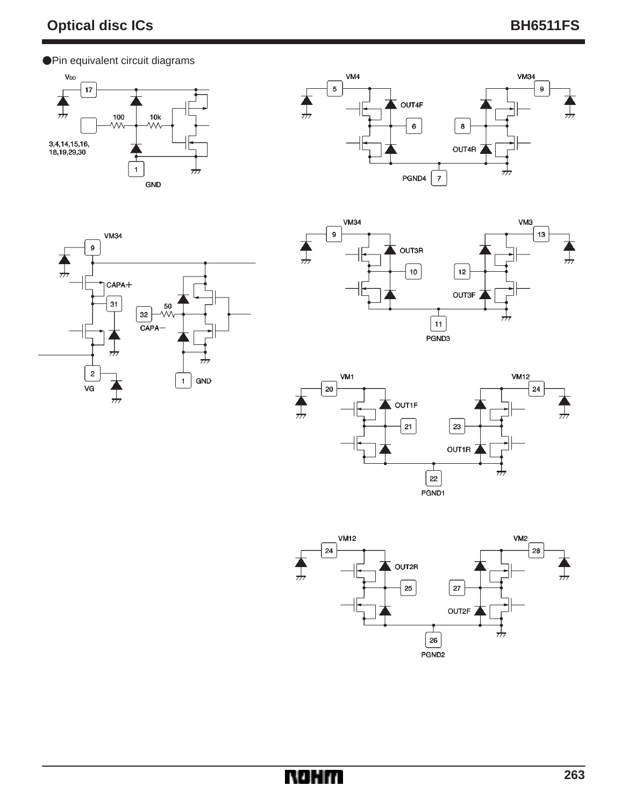Pin equivalent circuit diagrams

 $\boldsymbol{9}$ 

╥

**VM34** 











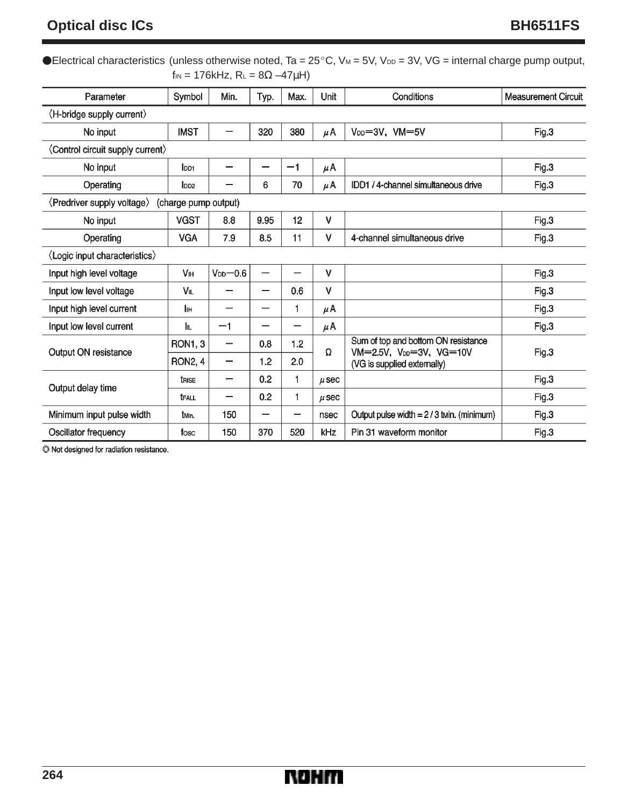## **Optical disc ICs** BH6511FS

|                                                    |                       |                                               |                          |      |           | ●Electrical characteristics (unless otherwise noted, Ta = $25^{\circ}$ C, V <sub>M</sub> = 5V, V <sub>DD</sub> = 3V, VG = internal charge pump output, |                            |  |
|----------------------------------------------------|-----------------------|-----------------------------------------------|--------------------------|------|-----------|--------------------------------------------------------------------------------------------------------------------------------------------------------|----------------------------|--|
|                                                    |                       | $f_{IN} = 176kHz$ , $R_L = 8\Omega - 47\mu H$ |                          |      |           |                                                                                                                                                        |                            |  |
| Parameter                                          | Symbol                | Min.                                          | Typ.                     | Max. | Unit      | Conditions                                                                                                                                             | <b>Measurement Circuit</b> |  |
| $\langle$ H-bridge supply current $\rangle$        |                       |                                               |                          |      |           |                                                                                                                                                        |                            |  |
| No input                                           | <b>IMST</b>           | —                                             | 320                      | 380  | μA        | $V_{DD} = 3V$ , $VM = 5V$                                                                                                                              | Fig.3                      |  |
| (Control circuit supply current)                   |                       |                                               |                          |      |           |                                                                                                                                                        |                            |  |
| No input                                           | lpp <sub>1</sub>      | —                                             | —                        | $-1$ | $\mu$ A   |                                                                                                                                                        | Fig.3                      |  |
| Operating                                          | l <sub>DD2</sub>      |                                               | 6                        | 70   | μA        | IDD1 / 4-channel simultaneous drive                                                                                                                    | Fig.3                      |  |
| (Predriver supply voltage)<br>(charge pump output) |                       |                                               |                          |      |           |                                                                                                                                                        |                            |  |
| No input                                           | <b>VGST</b>           | 8.8                                           | 9.95                     | 12   | v         |                                                                                                                                                        | Fig.3                      |  |
| Operating                                          | <b>VGA</b>            | 7.9                                           | 8.5                      | 11   | v         | 4-channel simultaneous drive                                                                                                                           | Fig.3                      |  |
| (Logic input characteristics)                      |                       |                                               |                          |      |           |                                                                                                                                                        |                            |  |
| Input high level voltage                           | <b>V<sub>IH</sub></b> | $V_{DD}$ -0.6                                 | —                        |      | v         |                                                                                                                                                        | Fig.3                      |  |
| Input low level voltage                            | VIL                   | -                                             | $\overline{\phantom{0}}$ | 0.6  | $\vee$    |                                                                                                                                                        | Fig.3                      |  |
| Input high level current                           | Iін                   |                                               |                          | 1    | μA        |                                                                                                                                                        | Fig.3                      |  |
| Input low level current                            | lμ                    | $-1$                                          |                          |      | $\mu$ A   |                                                                                                                                                        | Fig.3                      |  |
| Output ON resistance                               | <b>RON1, 3</b>        | —                                             | 0.8                      | 1.2  | Ω         | Sum of top and bottom ON resistance<br>VM=2.5V, V <sub>DD</sub> =3V, VG=10V                                                                            | Fig.3                      |  |
|                                                    | <b>RON2, 4</b>        | —                                             | 1.2                      | 2.0  |           | (VG is supplied externally)                                                                                                                            |                            |  |
| Output delay time                                  | trise                 | —                                             | 0.2                      | 1    | $\mu$ sec |                                                                                                                                                        | Fig.3                      |  |
|                                                    | <b>TFALL</b>          | -                                             | 0.2                      | 1    | $\mu$ sec |                                                                                                                                                        | Fig.3                      |  |
| Minimum input pulse width                          | t <sub>Min.</sub>     | 150                                           | —                        |      | nsec      | Output pulse width $= 2/3$ twin. (minimum)                                                                                                             | Fig.3                      |  |
| Oscillator frequency                               | fosc                  | 150                                           | 370                      | 520  | kHz       | Pin 31 waveform monitor                                                                                                                                | Fig.3                      |  |

 $\odot$  Not designed for radiation resistance.

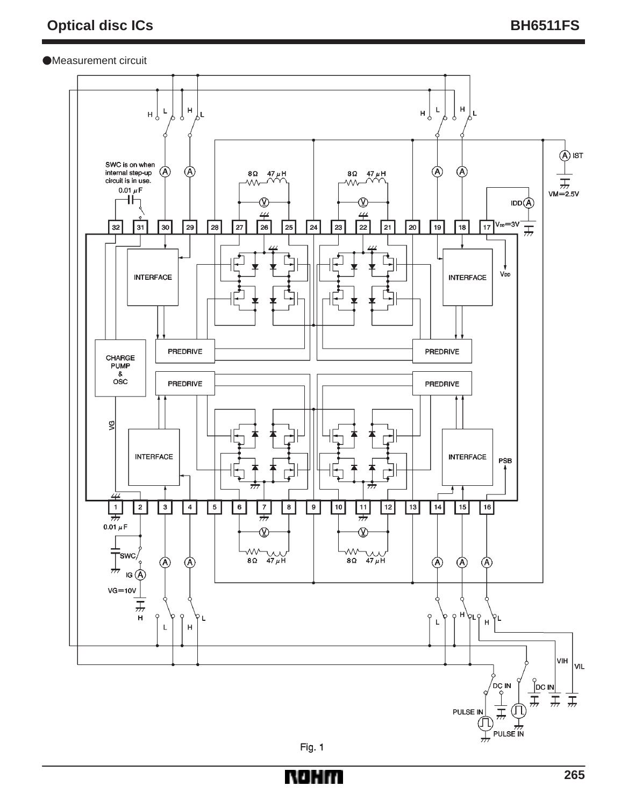### Measurement circuit



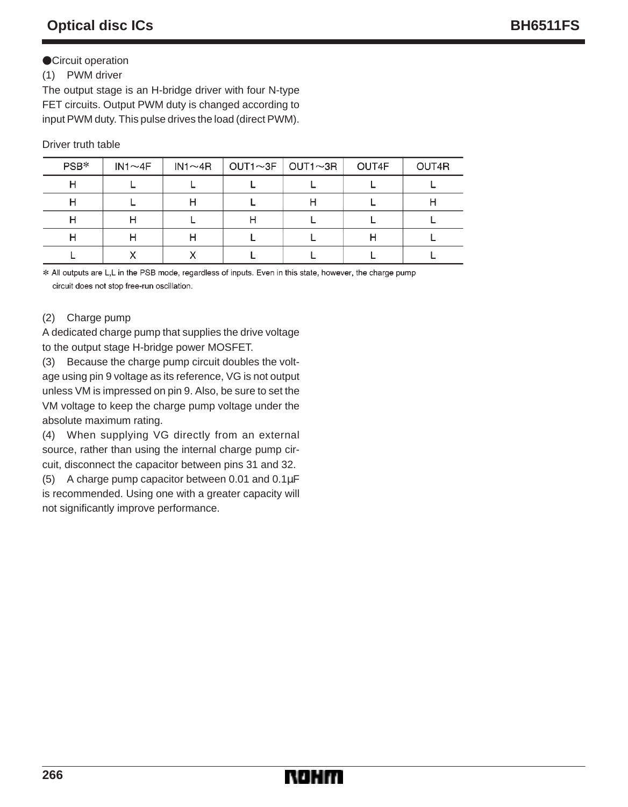## **OCircuit operation**

## (1) PWM driver

The output stage is an H-bridge driver with four N-type FET circuits. Output PWM duty is changed according to input PWM duty. This pulse drives the load (direct PWM).

## Driver truth table

| PSB* | $IN1 \sim 4F$ | $IN1 \sim 4R$ | $OUT1~3F$ $OUT1~3R$ | OUT4F | OUT4R |
|------|---------------|---------------|---------------------|-------|-------|
|      |               |               |                     |       |       |
|      |               |               | . .                 |       |       |
|      | п             |               |                     |       |       |
|      |               |               |                     |       |       |
|      |               |               |                     |       |       |

\* All outputs are L,L in the PSB mode, regardless of inputs. Even in this state, however, the charge pump circuit does not stop free-run oscillation.

## (2) Charge pump

A dedicated charge pump that supplies the drive voltage to the output stage H-bridge power MOSFET.

(3) Because the charge pump circuit doubles the voltage using pin 9 voltage as its reference, VG is not output unless VM is impressed on pin 9. Also, be sure to set the VM voltage to keep the charge pump voltage under the absolute maximum rating.

(4) When supplying VG directly from an external source, rather than using the internal charge pump circuit, disconnect the capacitor between pins 31 and 32.

(5) A charge pump capacitor between 0.01 and 0.1µF is recommended. Using one with a greater capacity will not significantly improve performance.

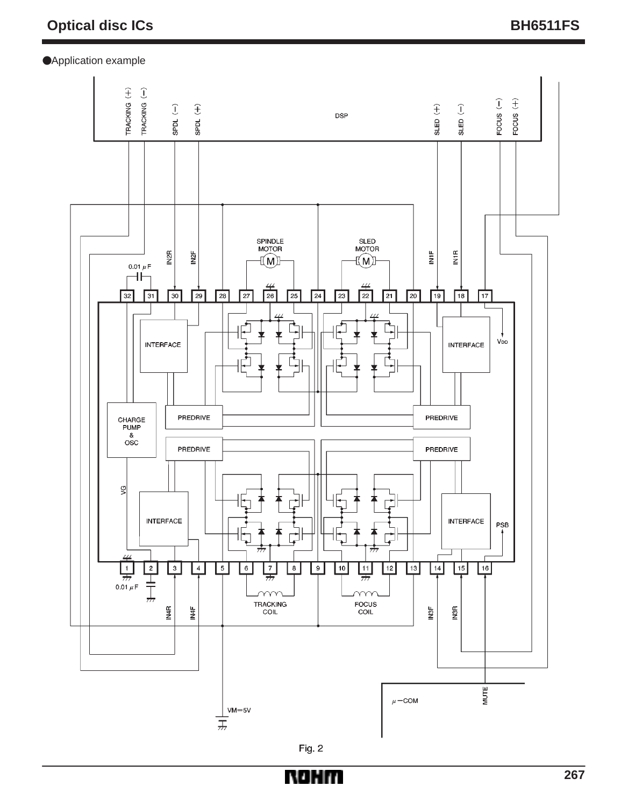

NOHIT